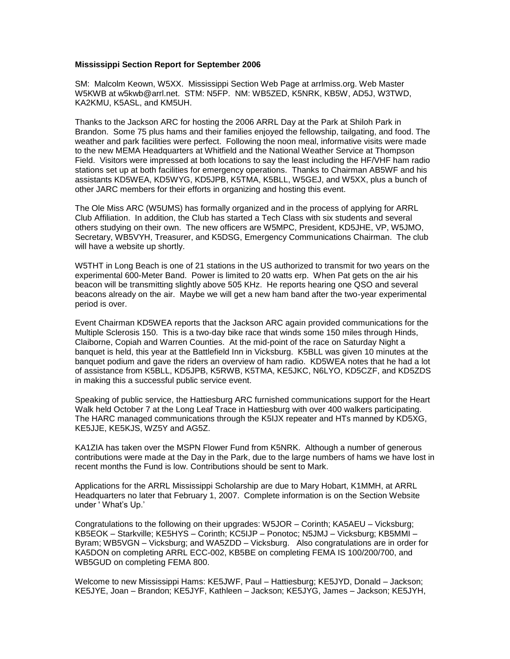## **Mississippi Section Report for September 2006**

SM: Malcolm Keown, W5XX. Mississippi Section Web Page at arrlmiss.org. Web Master W5KWB at w5kwb@arrl.net. STM: N5FP. NM: WB5ZED, K5NRK, KB5W, AD5J, W3TWD, KA2KMU, K5ASL, and KM5UH.

Thanks to the Jackson ARC for hosting the 2006 ARRL Day at the Park at Shiloh Park in Brandon. Some 75 plus hams and their families enjoyed the fellowship, tailgating, and food. The weather and park facilities were perfect. Following the noon meal, informative visits were made to the new MEMA Headquarters at Whitfield and the National Weather Service at Thompson Field. Visitors were impressed at both locations to say the least including the HF/VHF ham radio stations set up at both facilities for emergency operations. Thanks to Chairman AB5WF and his assistants KD5WEA, KD5WYG, KD5JPB, K5TMA, K5BLL, W5GEJ, and W5XX, plus a bunch of other JARC members for their efforts in organizing and hosting this event.

The Ole Miss ARC (W5UMS) has formally organized and in the process of applying for ARRL Club Affiliation. In addition, the Club has started a Tech Class with six students and several others studying on their own. The new officers are W5MPC, President, KD5JHE, VP, W5JMO, Secretary, WB5VYH, Treasurer, and K5DSG, Emergency Communications Chairman. The club will have a website up shortly.

W5THT in Long Beach is one of 21 stations in the US authorized to transmit for two years on the experimental 600-Meter Band. Power is limited to 20 watts erp. When Pat gets on the air his beacon will be transmitting slightly above 505 KHz. He reports hearing one QSO and several beacons already on the air. Maybe we will get a new ham band after the two-year experimental period is over.

Event Chairman KD5WEA reports that the Jackson ARC again provided communications for the Multiple Sclerosis 150. This is a two-day bike race that winds some 150 miles through Hinds, Claiborne, Copiah and Warren Counties. At the mid-point of the race on Saturday Night a banquet is held, this year at the Battlefield Inn in Vicksburg. K5BLL was given 10 minutes at the banquet podium and gave the riders an overview of ham radio. KD5WEA notes that he had a lot of assistance from K5BLL, KD5JPB, K5RWB, K5TMA, KE5JKC, N6LYO, KD5CZF, and KD5ZDS in making this a successful public service event.

Speaking of public service, the Hattiesburg ARC furnished communications support for the Heart Walk held October 7 at the Long Leaf Trace in Hattiesburg with over 400 walkers participating. The HARC managed communications through the K5IJX repeater and HTs manned by KD5XG, KE5JJE, KE5KJS, WZ5Y and AG5Z.

KA1ZIA has taken over the MSPN Flower Fund from K5NRK. Although a number of generous contributions were made at the Day in the Park, due to the large numbers of hams we have lost in recent months the Fund is low. Contributions should be sent to Mark.

Applications for the ARRL Mississippi Scholarship are due to Mary Hobart, K1MMH, at ARRL Headquarters no later that February 1, 2007. Complete information is on the Section Website under ' What's Up.'

Congratulations to the following on their upgrades: W5JOR – Corinth; KA5AEU – Vicksburg; KB5EOK – Starkville; KE5HYS – Corinth; KC5IJP – Ponotoc; N5JMJ – Vicksburg; KB5MMI – Byram; WB5VGN – Vicksburg; and WA5ZDD – Vicksburg. Also congratulations are in order for KA5DON on completing ARRL ECC-002, KB5BE on completing FEMA IS 100/200/700, and WB5GUD on completing FEMA 800.

Welcome to new Mississippi Hams: KE5JWF, Paul – Hattiesburg; KE5JYD, Donald – Jackson; KE5JYE, Joan – Brandon; KE5JYF, Kathleen – Jackson; KE5JYG, James – Jackson; KE5JYH,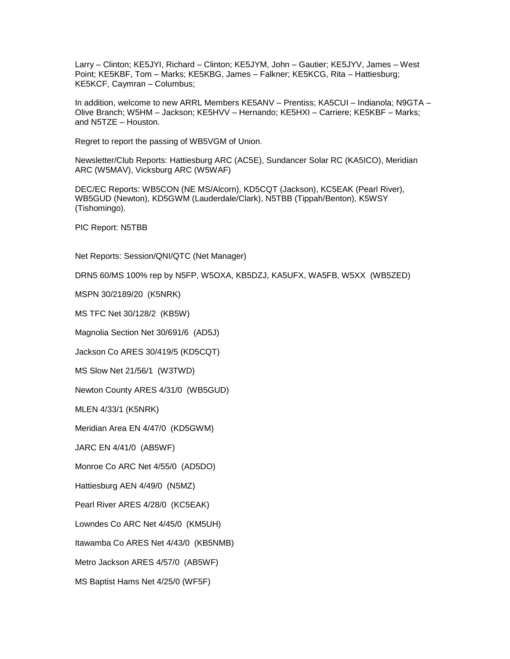Larry – Clinton; KE5JYI, Richard – Clinton; KE5JYM, John – Gautier; KE5JYV, James – West Point; KE5KBF, Tom – Marks; KE5KBG, James – Falkner; KE5KCG, Rita – Hattiesburg; KE5KCF, Caymran – Columbus;

In addition, welcome to new ARRL Members KE5ANV – Prentiss; KA5CUI – Indianola; N9GTA – Olive Branch; W5HM – Jackson; KE5HVV – Hernando; KE5HXI – Carriere; KE5KBF – Marks; and N5TZE – Houston.

Regret to report the passing of WB5VGM of Union.

Newsletter/Club Reports: Hattiesburg ARC (AC5E), Sundancer Solar RC (KA5ICO), Meridian ARC (W5MAV), Vicksburg ARC (W5WAF)

DEC/EC Reports: WB5CON (NE MS/Alcorn), KD5CQT (Jackson), KC5EAK (Pearl River), WB5GUD (Newton), KD5GWM (Lauderdale/Clark), N5TBB (Tippah/Benton), K5WSY (Tishomingo).

PIC Report: N5TBB

Net Reports: Session/QNI/QTC (Net Manager)

DRN5 60/MS 100% rep by N5FP, W5OXA, KB5DZJ, KA5UFX, WA5FB, W5XX (WB5ZED)

MSPN 30/2189/20 (K5NRK)

MS TFC Net 30/128/2 (KB5W)

Magnolia Section Net 30/691/6 (AD5J)

Jackson Co ARES 30/419/5 (KD5CQT)

MS Slow Net 21/56/1 (W3TWD)

Newton County ARES 4/31/0 (WB5GUD)

MLEN 4/33/1 (K5NRK)

Meridian Area EN 4/47/0 (KD5GWM)

JARC EN 4/41/0 (AB5WF)

Monroe Co ARC Net 4/55/0 (AD5DO)

Hattiesburg AEN 4/49/0 (N5MZ)

Pearl River ARES 4/28/0 (KC5EAK)

Lowndes Co ARC Net 4/45/0 (KM5UH)

Itawamba Co ARES Net 4/43/0 (KB5NMB)

Metro Jackson ARES 4/57/0 (AB5WF)

MS Baptist Hams Net 4/25/0 (WF5F)